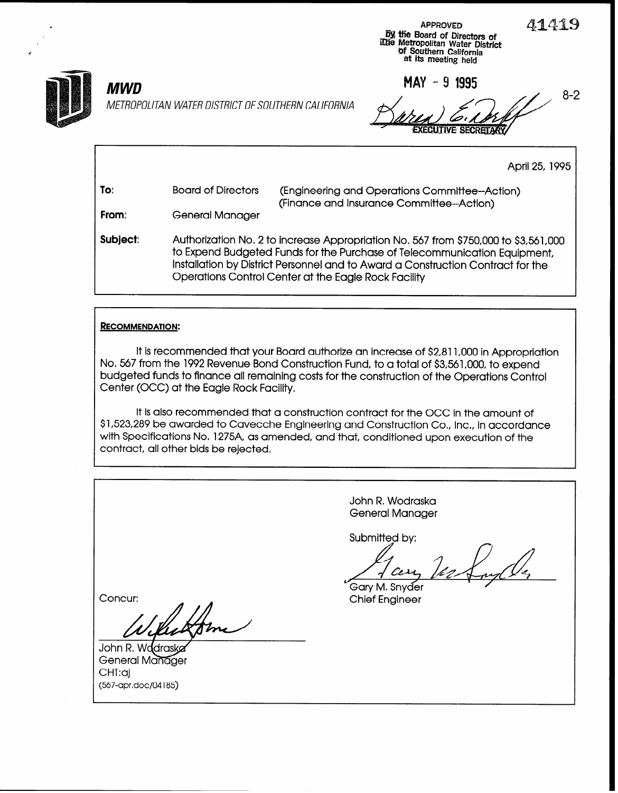41419

8-2



METROPOLITAN WATER DISTRICT OF SOUTHERN CALIFORNIA

lack the contract of the contract of the contract of the contract of the contract of the contract of the contract of the contract of the contract of the contract of the contract of the contract of the contract of the contr

**Dy the Board of Directors of**<br>I me Fort District (International Water District<br>The Metropolitan Water District<br>The Metropolitan Water District<br>at its meeting held

 $MWD$  MAY - 9 1995 **EXECUTIVE SECRETARY** 

April 25, 1995

| To:      | <b>Board of Directors</b>                                                                                                                                                                                                                                                                                   | (Engineering and Operations Committee--Action)<br>(Finance and Insurance Committee--Action) |  |  |
|----------|-------------------------------------------------------------------------------------------------------------------------------------------------------------------------------------------------------------------------------------------------------------------------------------------------------------|---------------------------------------------------------------------------------------------|--|--|
| From:    | General Manager                                                                                                                                                                                                                                                                                             |                                                                                             |  |  |
| Subject: | Authorization No. 2 to increase Appropriation No. 567 from \$750,000 to \$3,561,000<br>to Expend Budgeted Funds for the Purchase of Telecommunication Equipment,<br>Installation by District Personnel and to Award a Construction Contract for the<br>Operations Control Center at the Eagle Rock Facility |                                                                                             |  |  |

## RECOMMENDATION:

It is recommended that your Board authorize an increase of \$2,811,000 in Appropriation No. 567 from the 1992 Revenue Bond Construction Fund, to a total of \$3561,000, to expend budgeted funds to finance all remaining costs for the construction of the Operations Control Center (OCC) at the Eagle Rock Facility.

It is also recommended that a construction contract for the OCC in the amount of \$1,523,289 be awarded to Cavecche Engineering and Construction Co,, Inc., in accordance with Specifications No. 1275A, as amended, and that, conditioned upon execution of the contract, all other bids be rejected.

John R, Wodraska General Manager Submitted by: Cess .<br>Garv M. Snvder Concur: Chief Engineer  $\nu$ General Manager CHT:aj (567-apr.doc/04185)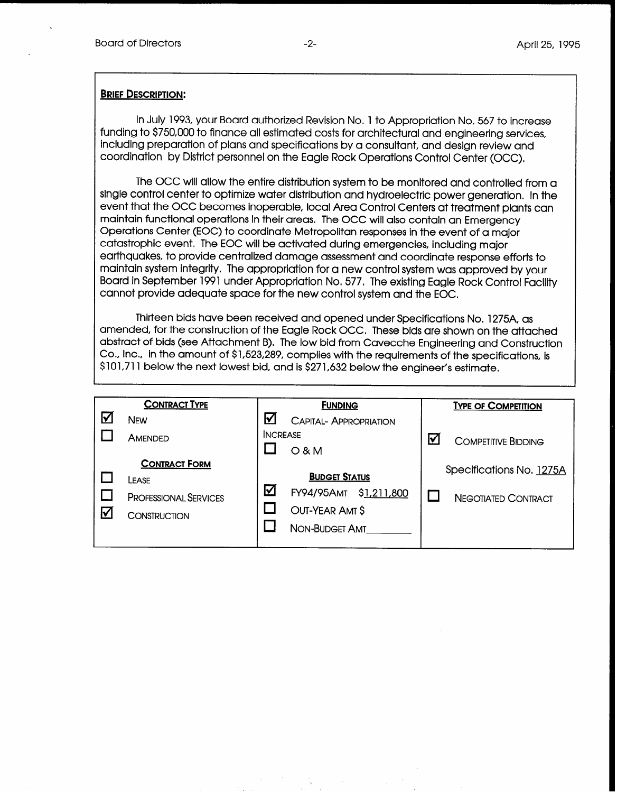### **BRIEF DESCRIPTION:**

In July 1993, your Board authorized Revision No. 1 to Appropriation No. 567 to increase funding to \$750,000 to finance all estimated costs for architectural and engineering services, including preparation of plans and specifications by a consultant, and design review and coordination by District personnel on the Eagle Rock Operations Control Center (OCC),

The OCC will allow the entire distribution system to be monitored and controlled from a single control center to optimize water distribution and hydroelectric power generation, In the event that the OCC becomes inoperable, local Area Control Centers at treatment plants can maintain functional operations in their areas. The OCC will also contain an Emergency Operations Center (EOC) to coordinate Metropolitan responses in the event of a major catastrophic event, The EOC will be activated during emergencies, including major earthquakes, to provide centralized damage assessment and coordinate response efforts to maintain system integrity, The appropriation for a new control system was approved by your Board in September 1991 under Appropriation No. 577, The existing Eagle Rock Control Facility cannot provide adequate space for the new control system and the EOC,

Thirteen bids have been received and opened under Specifications No. 1275A, as amended, for the construction of the Eagle Rock OCC. These bids are shown on the attached abstract of bids (see Attachment B), The low bid from Cavecche Engineering and Construction Co., Inc,, in the amount of \$1,523,289, complies with the requirements of the specifications, is \$101,7 11 below the next lowest bid, and is \$27 1,632 below the engineer's estimate.

|                      | <b>CONTRACT TYPE</b>         |                 | <b>FUNDING</b>                   |   | <b>TYPE OF COMPETITION</b> |
|----------------------|------------------------------|-----------------|----------------------------------|---|----------------------------|
| М                    | <b>NEW</b>                   | V               | <b>CAPITAL- APPROPRIATION</b>    |   |                            |
|                      | AMENDED                      | <b>INCREASE</b> | $O$ & M                          | ∇ | <b>COMPETITIVE BIDDING</b> |
|                      | <b>CONTRACT FORM</b>         |                 |                                  |   | Specifications No. 1275A   |
|                      | LEASE                        |                 | <b>BUDGET STATUS</b>             |   |                            |
|                      | <b>PROFESSIONAL SERVICES</b> | <u>V</u>        | \$1,211,800<br><b>FY94/95AMT</b> |   | <b>NEGOTIATED CONTRACT</b> |
| $\blacktriangledown$ | <b>CONSTRUCTION</b>          |                 | OUT-YEAR AMT \$                  |   |                            |
|                      |                              |                 | NON-BUDGET AMT                   |   |                            |
|                      |                              |                 |                                  |   |                            |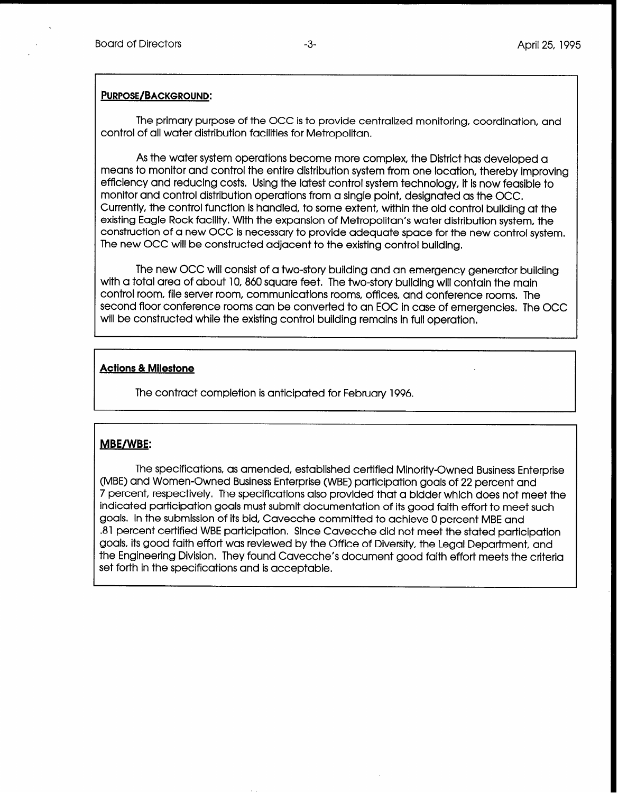## PURPOSE/BACKGROUND:

The primary purpose of the OCC is to provide centralized monitoring, coordination, and control of all water distribution facilities for Metropolitan.

As the water system operations become more complex the District has developed a means to monitor and control the entire distribution system from one location, thereby improving efficiency and reducing costs. Using the latest control system technology, it is now feasible to monitor and control distribution operations from a single point, designated as the OCC. Currently, the control function is handled, to some extent, within the old control building at the existing Eagle Rock facility. With the expansion of Metropolitan's water distribution system, the construction of a new OCC is necessary to provide adequate space for the new control system. The new OCC will be constructed adjacent to the existing control building,

The new OCC will consist of a two-story building and an emergency generator building with a total area of about 10,860 square feet. The two-story building will contain the main control room, file server room, communications rooms, offices, and conference rooms, The second floor conference rooms can be converted to an EOC in case of emergencies. The OCC will be constructed while the existing control building remains in full operation.

# Actions & Milestone

The contract completion is anticipated for February 1996,

# MBE/WBE:

The specifications, as amended, established certified Minority-Owned Business Enterprise (MBE) and Women-Owned Business Enterprise (WBE) participation goals of 22 percent and 7 percent, respectively, The specifications also provided that a bidder which does not meet the indicated participation goals must submit documentation of its good faith effort to meet such goals, In the submission of its bid, Cavecche committed to achieve 0 percent MBE and ,81 percent certified WBE participation. Since Cavecche did not meet the stated participation goals, its good faith effort was reviewed by the Office of Diversity, the Legal Department, and the Engineering Division, They found Cavecche's document good faith effort meets the criteria set forth in the specifications and is acceptable.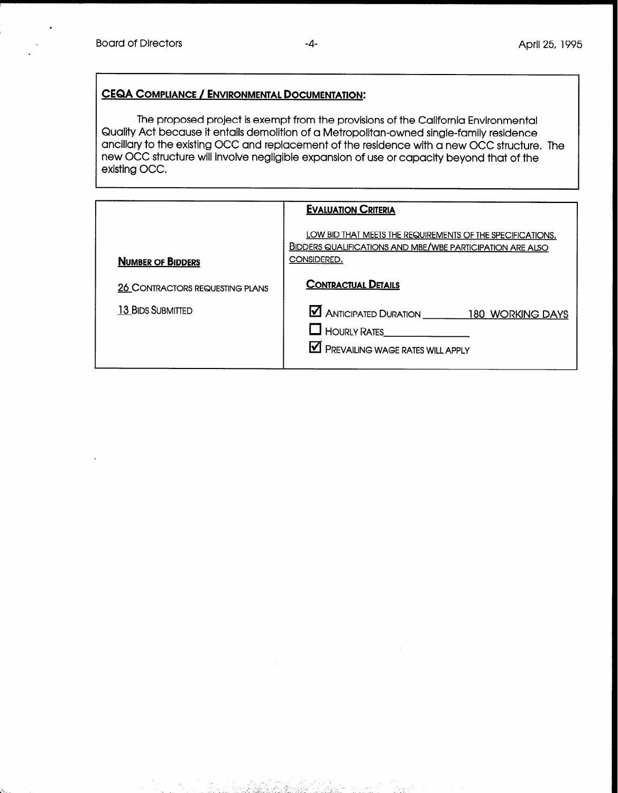.

# CEQA COMPLIANCE / ENVIRONMENTAL DOCUMENTATION:

The proposed project is exempt from the provisions of the California Environmental Quality Act because it entails demolition of a Metropolitan-owned single-family residence ancillary to the existing OCC and replacement of the residence with a new OCC structure. The new OCC structure will involve negligible expansion of use or capacity beyond that of the existing OCC.

| <b>EVALUATION CRITERIA</b>             |                                                                                                                                               |  |  |
|----------------------------------------|-----------------------------------------------------------------------------------------------------------------------------------------------|--|--|
| <b>NUMBER OF BIDDERS</b>               | LOW BID THAT MEETS THE REQUIREMENTS OF THE SPECIFICATIONS.<br><b>BIDDERS QUALIFICATIONS AND MBE/WBE PARTICIPATION ARE ALSO</b><br>CONSIDERED. |  |  |
| <b>26 CONTRACTORS REQUESTING PLANS</b> | <b>CONTRACTUAL DETAILS</b>                                                                                                                    |  |  |
| <b>13 BIDS SUBMITTED</b>               | ANTICIPATED DURATION 180 WORKING DAYS<br>HOURLY RATES<br><b>M</b> PREVAILING WAGE RATES WILL APPLY                                            |  |  |

- .\_. .;

. ,- , -2. . \_. - \_ .-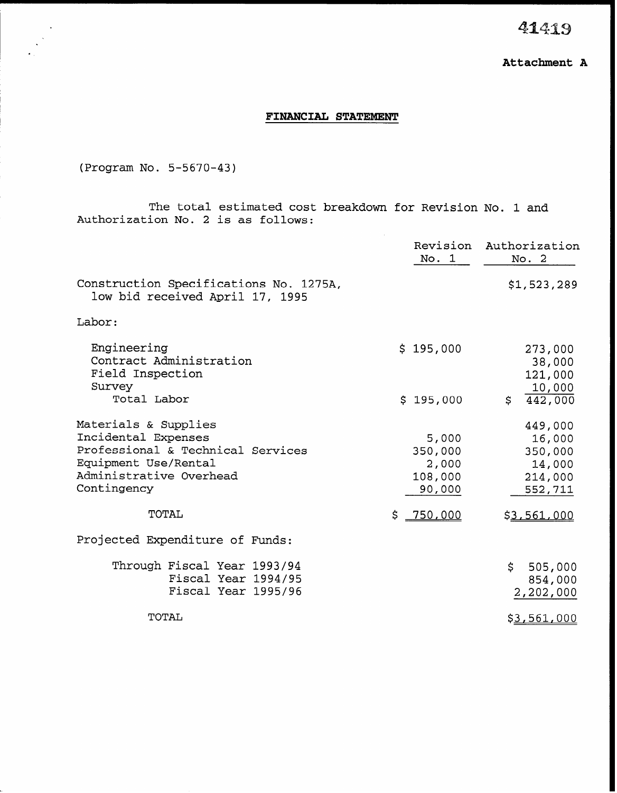41419

# FINANCIAL STATEMENT

(Program No. 5-5670-43)

I '

The total estimated cost breakdown for Revision No. 1 and Authorization No. 2 is as follows:

|                                                                                                                                                    | No. 1                                          | Revision Authorization<br>No. 2                              |
|----------------------------------------------------------------------------------------------------------------------------------------------------|------------------------------------------------|--------------------------------------------------------------|
| Construction Specifications No. 1275A,<br>low bid received April 17, 1995                                                                          |                                                | \$1,523,289                                                  |
| Labor:                                                                                                                                             |                                                |                                                              |
| Engineering<br>Contract Administration<br>Field Inspection<br>Survey                                                                               | \$195,000                                      | 273,000<br>38,000<br>121,000<br>10,000                       |
| Total Labor                                                                                                                                        | \$195,000                                      | S<br>442,000                                                 |
| Materials & Supplies<br>Incidental Expenses<br>Professional & Technical Services<br>Equipment Use/Rental<br>Administrative Overhead<br>Contingency | 5,000<br>350,000<br>2,000<br>108,000<br>90,000 | 449,000<br>16,000<br>350,000<br>14,000<br>214,000<br>552,711 |
| TOTAL                                                                                                                                              | \$ 750,000                                     | \$3,561,000                                                  |
| Projected Expenditure of Funds:                                                                                                                    |                                                |                                                              |
| Through Fiscal Year 1993/94<br>Fiscal Year 1994/95<br>Fiscal Year 1995/96                                                                          |                                                | $\mathsf{S}^-$<br>505,000<br>854,000<br>2,202,000            |
| TOTAL                                                                                                                                              |                                                | \$3,561,000                                                  |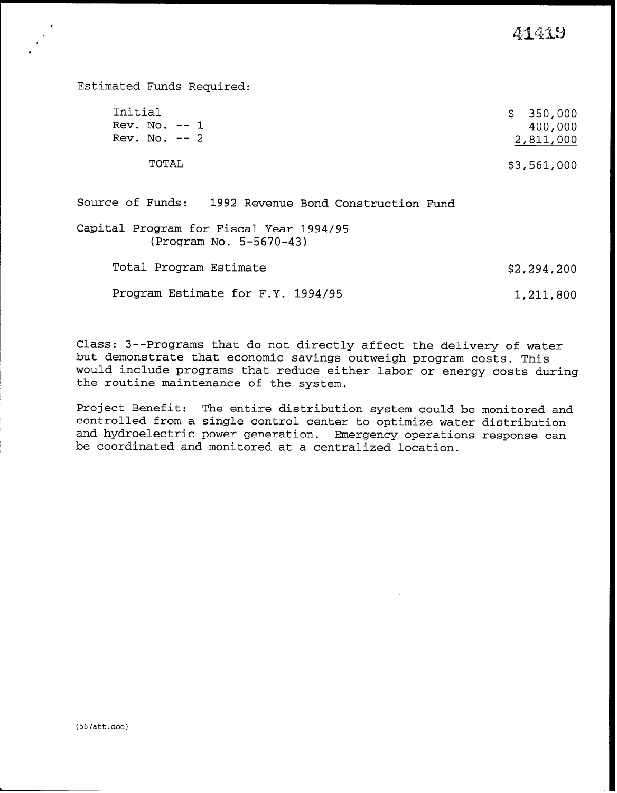41419

Estimated Funds Required: Initial \$ 350,000<br>Rev. No. -- 1 400.000 Rev. No.  $-- 1$ <br>Rev. No.  $-- 2$ 2,811,000 TOTAL \$3,561,000 Source of Funds: 1992 Revenue Bond Construction Fund Capital Program for Fiscal Year 1994/95

(Program No. 5-5670-43)

Total Program Estimate  $$2,294,200$ 

Program Estimate for F.Y. 1994/95 1,211,800

Class: 3--Programs that do not directly affect the delivery of water but demonstrate that economic savings outweigh program costs. This would include programs that reduce either labor or energy costs during the routine maintenance of the system.

Project Benefit: The entire distribution system could be monitored and controlled from a single control center to optimize water distribution and hydroelectric power generation. Emergency operations response can be coordinated and monitored at a centralized location.